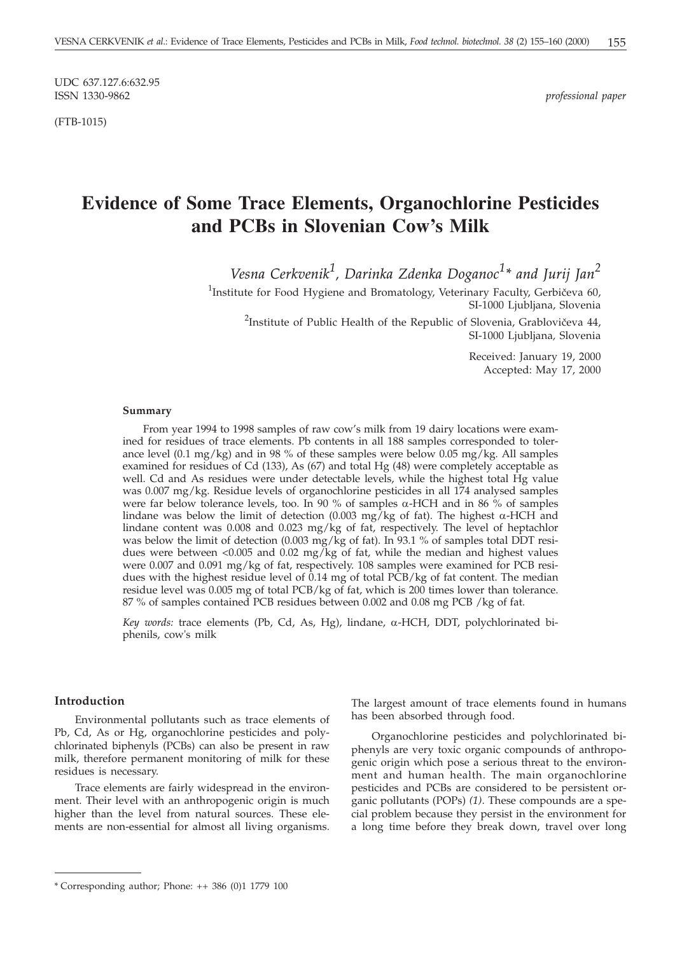UDC 637.127.6:632.95

(FTB-1015)

 $professional paper$ 

# **Evidence of Some Trace Elements, Organochlorine Pesticides and PCBs in Slovenian Cow's Milk**

*Vesna Cerkvenik<sup>1</sup> , Darinka Zdenka Doganoc<sup>1</sup> \* and Jurij Jan<sup>2</sup>*

<sup>1</sup>Institute for Food Hygiene and Bromatology, Veterinary Faculty, Gerbičeva 60, SI-1000 Ljubljana, Slovenia <sup>2</sup>Institute of Public Health of the Republic of Slovenia, Grablovičeva 44,

SI-1000 Ljubljana*,* Slovenia

Received: January 19, 2000 Accepted: May 17, 2000

#### **Summary**

From year 1994 to 1998 samples of raw cow's milk from 19 dairy locations were examined for residues of trace elements. Pb contents in all 188 samples corresponded to tolerance level  $(0.1 \text{ mg/kg})$  and in 98 % of these samples were below 0.05 mg/kg. All samples examined for residues of Cd (133), As (67) and total Hg (48) were completely acceptable as well. Cd and As residues were under detectable levels, while the highest total Hg value was 0.007 mg/kg. Residue levels of organochlorine pesticides in all 174 analysed samples were far below tolerance levels, too. In 90 % of samples  $\alpha$ -HCH and in 86 % of samples lindane was below the limit of detection (0.003 mg/kg of fat). The highest  $\alpha$ -HCH and lindane content was 0.008 and 0.023 mg/kg of fat, respectively. The level of heptachlor was below the limit of detection (0.003 mg/kg of fat). In 93.1 % of samples total DDT residues were between <0.005 and 0.02 mg/kg of fat, while the median and highest values were 0.007 and 0.091 mg/kg of fat, respectively. 108 samples were examined for PCB residues with the highest residue level of 0.14 mg of total PCB/kg of fat content. The median residue level was 0.005 mg of total PCB/kg of fat, which is 200 times lower than tolerance. 87 % of samples contained PCB residues between 0.002 and 0.08 mg PCB /kg of fat.

Key words: trace elements (Pb, Cd, As, Hg), lindane,  $\alpha$ -HCH, DDT, polychlorinated biphenils, cow's milk

### **Introduction**

Environmental pollutants such as trace elements of Pb, Cd, As or Hg, organochlorine pesticides and polychlorinated biphenyls (PCBs) can also be present in raw milk, therefore permanent monitoring of milk for these residues is necessary.

Trace elements are fairly widespread in the environment. Their level with an anthropogenic origin is much higher than the level from natural sources. These elements are non-essential for almost all living organisms. The largest amount of trace elements found in humans has been absorbed through food.

Organochlorine pesticides and polychlorinated biphenyls are very toxic organic compounds of anthropogenic origin which pose a serious threat to the environment and human health. The main organochlorine pesticides and PCBs are considered to be persistent organic pollutants (POPs) *(1)*. These compounds are a special problem because they persist in the environment for a long time before they break down, travel over long

<sup>\*</sup> Corresponding author; Phone: ++ 386 (0)1 1779 100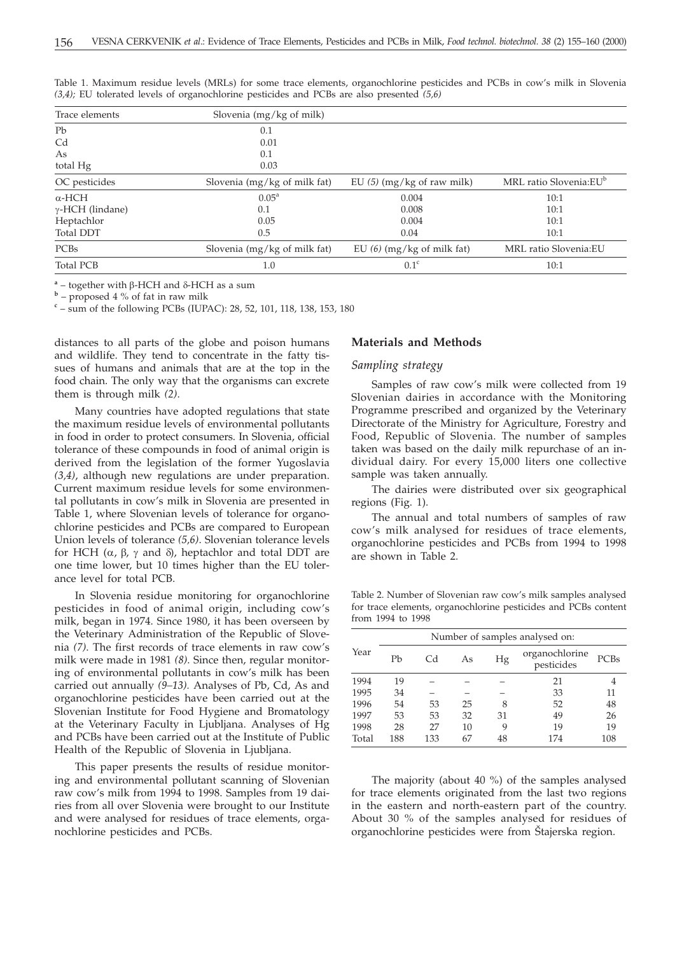| Trace elements          | Slovenia $(mg/kg of milk)$   |                              |                                    |
|-------------------------|------------------------------|------------------------------|------------------------------------|
| Pb                      | 0.1                          |                              |                                    |
| C <sub>d</sub>          | 0.01                         |                              |                                    |
| As                      | 0.1                          |                              |                                    |
| total Hg                | 0.03                         |                              |                                    |
| OC pesticides           | Slovenia (mg/kg of milk fat) | EU $(5)$ (mg/kg of raw milk) | MRL ratio Slovenia:EU <sup>b</sup> |
| $\alpha$ -HCH           | $0.05^{\rm a}$               | 0.004                        | 10:1                               |
| $\gamma$ -HCH (lindane) | 0.1                          | 0.008                        | 10:1                               |
| Heptachlor              | 0.05                         | 0.004                        | 10:1                               |
| Total DDT               | 0.5                          | 0.04                         | 10:1                               |
| PCBs                    | Slovenia (mg/kg of milk fat) | EU $(6)$ (mg/kg of milk fat) | MRL ratio Slovenia:EU              |
| <b>Total PCB</b>        | 1.0                          | 0.1 <sup>c</sup>             | 10:1                               |

Table 1. Maximum residue levels (MRLs) for some trace elements, organochlorine pesticides and PCBs in cow's milk in Slovenia *(3,4);* EU tolerated levels of organochlorine pesticides and PCBs are also presented *(5,6)*

<sup>a</sup> – together with β-HCH and δ-HCH as a sum<br><sup>b</sup> – proposed 4 % of fat in raw milk

<sup>c</sup> – sum of the following PCBs (IUPAC): 28, 52, 101, 118, 138, 153, 180

distances to all parts of the globe and poison humans and wildlife. They tend to concentrate in the fatty tissues of humans and animals that are at the top in the food chain. The only way that the organisms can excrete them is through milk *(2)*.

Many countries have adopted regulations that state the maximum residue levels of environmental pollutants in food in order to protect consumers. In Slovenia, official tolerance of these compounds in food of animal origin is derived from the legislation of the former Yugoslavia *(3,4)*, although new regulations are under preparation. Current maximum residue levels for some environmental pollutants in cow's milk in Slovenia are presented in Table 1, where Slovenian levels of tolerance for organochlorine pesticides and PCBs are compared to European Union levels of tolerance *(5,6)*. Slovenian tolerance levels for HCH ( $\alpha$ ,  $\beta$ ,  $\gamma$  and  $\delta$ ), heptachlor and total DDT are one time lower, but 10 times higher than the EU tolerance level for total PCB.

In Slovenia residue monitoring for organochlorine pesticides in food of animal origin, including cow's milk, began in 1974. Since 1980, it has been overseen by the Veterinary Administration of the Republic of Slovenia *(7)*. The first records of trace elements in raw cow's milk were made in 1981 *(8)*. Since then, regular monitoring of environmental pollutants in cow's milk has been carried out annually *(9–13).* Analyses of Pb, Cd, As and organochlorine pesticides have been carried out at the Slovenian Institute for Food Hygiene and Bromatology at the Veterinary Faculty in Ljubljana. Analyses of Hg and PCBs have been carried out at the Institute of Public Health of the Republic of Slovenia in Ljubljana.

This paper presents the results of residue monitoring and environmental pollutant scanning of Slovenian raw cow's milk from 1994 to 1998. Samples from 19 dairies from all over Slovenia were brought to our Institute and were analysed for residues of trace elements, organochlorine pesticides and PCBs.

## **Materials and Methods**

#### *Sampling strategy*

Samples of raw cow's milk were collected from 19 Slovenian dairies in accordance with the Monitoring Programme prescribed and organized by the Veterinary Directorate of the Ministry for Agriculture, Forestry and Food, Republic of Slovenia. The number of samples taken was based on the daily milk repurchase of an individual dairy. For every 15,000 liters one collective sample was taken annually.

The dairies were distributed over six geographical regions (Fig. 1).

The annual and total numbers of samples of raw cow's milk analysed for residues of trace elements, organochlorine pesticides and PCBs from 1994 to 1998 are shown in Table 2.

Table 2. Number of Slovenian raw cow's milk samples analysed for trace elements, organochlorine pesticides and PCBs content from 1994 to 1998

|       | Number of samples analysed on: |     |    |    |                              |      |  |
|-------|--------------------------------|-----|----|----|------------------------------|------|--|
| Year  | Pb                             | Cd  | As | Hg | organochlorine<br>pesticides | PCBs |  |
| 1994  | 19                             |     |    |    | 21                           |      |  |
| 1995  | 34                             |     |    |    | 33                           | 11   |  |
| 1996  | 54                             | 53  | 25 | 8  | 52                           | 48   |  |
| 1997  | 53                             | 53  | 32 | 31 | 49                           | 26   |  |
| 1998  | 28                             | 27  | 10 | 9  | 19                           | 19   |  |
| Total | 188                            | 133 | 67 | 48 | 174                          | 108  |  |

The majority (about 40 %) of the samples analysed for trace elements originated from the last two regions in the eastern and north-eastern part of the country. About 30 % of the samples analysed for residues of organochlorine pesticides were from Štajerska region.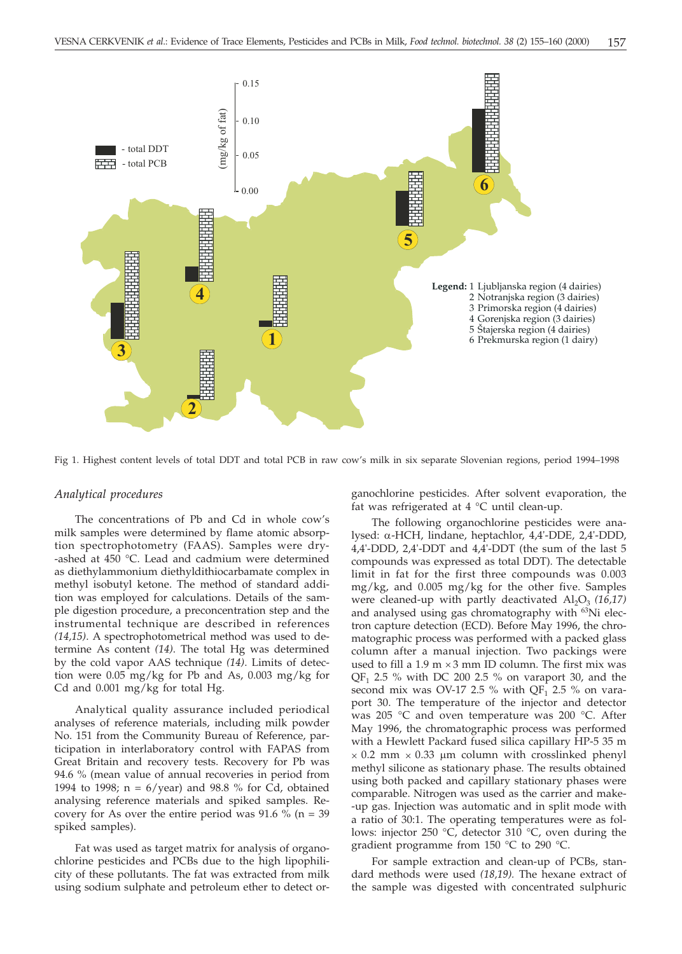

Fig 1. Highest content levels of total DDT and total PCB in raw cow's milk in six separate Slovenian regions, period 1994–1998

### *Analytical procedures*

The concentrations of Pb and Cd in whole cow's milk samples were determined by flame atomic absorption spectrophotometry (FAAS). Samples were dry- -ashed at 450 °C. Lead and cadmium were determined as diethylammonium diethyldithiocarbamate complex in methyl isobutyl ketone. The method of standard addition was employed for calculations. Details of the sample digestion procedure, a preconcentration step and the instrumental technique are described in references *(14,15)*. A spectrophotometrical method was used to determine As content *(14)*. The total Hg was determined by the cold vapor AAS technique *(14)*. Limits of detection were 0.05 mg/kg for Pb and As, 0.003 mg/kg for Cd and 0.001 mg/kg for total Hg.

Analytical quality assurance included periodical analyses of reference materials, including milk powder No. 151 from the Community Bureau of Reference, participation in interlaboratory control with FAPAS from Great Britain and recovery tests. Recovery for Pb was 94.6 % (mean value of annual recoveries in period from 1994 to 1998;  $n = 6$ /year) and 98.8 % for Cd, obtained analysing reference materials and spiked samples. Recovery for As over the entire period was 91.6  $\%$  (n = 39 spiked samples).

Fat was used as target matrix for analysis of organochlorine pesticides and PCBs due to the high lipophilicity of these pollutants. The fat was extracted from milk using sodium sulphate and petroleum ether to detect organochlorine pesticides. After solvent evaporation, the fat was refrigerated at 4 °C until clean-up.

The following organochlorine pesticides were analysed:  $\alpha$ -HCH, lindane, heptachlor, 4,4'-DDE, 2,4'-DDD, 4,4'-DDD, 2,4'-DDT and 4,4'-DDT (the sum of the last 5 compounds was expressed as total DDT). The detectable limit in fat for the first three compounds was 0.003 mg/kg, and 0.005 mg/kg for the other five. Samples were cleaned-up with partly deactivated  $Al_2O_3$  (16,17) and analysed using gas chromatography with <sup>63</sup>Ni electron capture detection (ECD). Before May 1996, the chromatographic process was performed with a packed glass column after a manual injection. Two packings were used to fill a  $1.9 \text{ m} \times 3 \text{ mm}$  ID column. The first mix was QF<sub>1</sub> 2.5 % with DC 200 2.5 % on varaport 30, and the second mix was OV-17 2.5 % with QF<sub>1</sub> 2.5 % on varaport 30. The temperature of the injector and detector was 205 °C and oven temperature was 200 °C. After May 1996, the chromatographic process was performed with a Hewlett Packard fused silica capillary HP-5 35 m  $\times$  0.2 mm  $\times$  0.33 µm column with crosslinked phenyl methyl silicone as stationary phase. The results obtained using both packed and capillary stationary phases were comparable. Nitrogen was used as the carrier and make- -up gas. Injection was automatic and in split mode with a ratio of 30:1. The operating temperatures were as follows: injector 250 °C, detector 310 °C, oven during the gradient programme from 150 °C to 290 °C.

For sample extraction and clean-up of PCBs, standard methods were used *(18,19).* The hexane extract of the sample was digested with concentrated sulphuric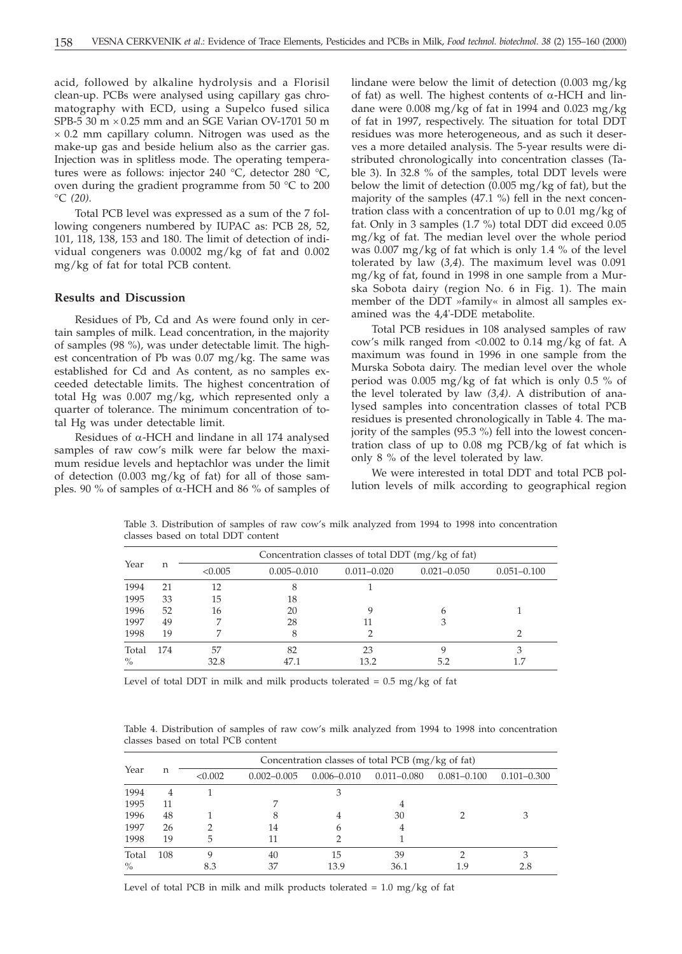acid, followed by alkaline hydrolysis and a Florisil clean-up. PCBs were analysed using capillary gas chromatography with ECD, using a Supelco fused silica SPB-5 30  $m \times 0.25$  mm and an SGE Varian OV-1701 50 m  $\times$  0.2 mm capillary column. Nitrogen was used as the make-up gas and beside helium also as the carrier gas. Injection was in splitless mode. The operating temperatures were as follows: injector 240 °C, detector 280 °C, oven during the gradient programme from 50 °C to 200 °C *(20)*.

Total PCB level was expressed as a sum of the 7 following congeners numbered by IUPAC as: PCB 28, 52, 101, 118, 138, 153 and 180. The limit of detection of individual congeners was 0.0002 mg/kg of fat and 0.002 mg/kg of fat for total PCB content.

### **Results and Discussion**

Residues of Pb, Cd and As were found only in certain samples of milk. Lead concentration, in the majority of samples (98 %), was under detectable limit. The highest concentration of Pb was 0.07 mg/kg. The same was established for Cd and As content, as no samples exceeded detectable limits. The highest concentration of total Hg was 0.007 mg/kg, which represented only a quarter of tolerance. The minimum concentration of total Hg was under detectable limit.

Residues of  $\alpha$ -HCH and lindane in all 174 analysed samples of raw cow's milk were far below the maximum residue levels and heptachlor was under the limit of detection (0.003 mg/kg of fat) for all of those samples. 90 % of samples of  $\alpha$ -HCH and 86 % of samples of lindane were below the limit of detection (0.003 mg/kg of fat) as well. The highest contents of  $\alpha$ -HCH and lindane were 0.008 mg/kg of fat in 1994 and 0.023 mg/kg of fat in 1997, respectively. The situation for total DDT residues was more heterogeneous, and as such it deserves a more detailed analysis. The 5-year results were distributed chronologically into concentration classes (Table 3). In 32.8 % of the samples, total DDT levels were below the limit of detection (0.005 mg/kg of fat), but the majority of the samples (47.1 %) fell in the next concentration class with a concentration of up to 0.01 mg/kg of fat. Only in 3 samples (1.7 %) total DDT did exceed 0.05 mg/kg of fat. The median level over the whole period was 0.007 mg/kg of fat which is only 1.4 % of the level tolerated by law (*3,4*). The maximum level was 0.091 mg/kg of fat, found in 1998 in one sample from a Murska Sobota dairy (region No. 6 in Fig. 1). The main member of the DDT »family« in almost all samples examined was the 4,4'-DDE metabolite.

Total PCB residues in 108 analysed samples of raw cow's milk ranged from <0.002 to 0.14 mg/kg of fat. A maximum was found in 1996 in one sample from the Murska Sobota dairy. The median level over the whole period was 0.005 mg/kg of fat which is only 0.5 % of the level tolerated by law *(3,4)*. A distribution of analysed samples into concentration classes of total PCB residues is presented chronologically in Table 4. The majority of the samples (95.3 %) fell into the lowest concentration class of up to 0.08 mg PCB/kg of fat which is only 8 % of the level tolerated by law.

We were interested in total DDT and total PCB pollution levels of milk according to geographical region

|       |     | Concentration classes of total DDT $(mg/kg$ of fat) |                 |                 |                 |                 |  |
|-------|-----|-----------------------------------------------------|-----------------|-----------------|-----------------|-----------------|--|
| Year  | n   | < 0.005                                             | $0.005 - 0.010$ | $0.011 - 0.020$ | $0.021 - 0.050$ | $0.051 - 0.100$ |  |
| 1994  | 21  | 12                                                  |                 |                 |                 |                 |  |
| 1995  | 33  | 15                                                  | 18              |                 |                 |                 |  |
| 1996  | 52  | 16                                                  | 20              |                 |                 |                 |  |
| 1997  | 49  |                                                     | 28              |                 |                 |                 |  |
| 1998  | 19  | 7                                                   |                 |                 |                 |                 |  |
| Total | 174 | 57                                                  | 82              | 23              |                 | 3               |  |
| $\%$  |     | 32.8                                                | 47.1            | 13.2            | 5.2             | 1.7             |  |

Table 3. Distribution of samples of raw cow's milk analyzed from 1994 to 1998 into concentration classes based on total DDT content

Level of total DDT in milk and milk products tolerated =  $0.5 \text{ mg/kg}$  of fat

Table 4. Distribution of samples of raw cow's milk analyzed from 1994 to 1998 into concentration classes based on total PCB content

|       |     | Concentration classes of total PCB $(mg/kg \text{ of } fat)$ |                 |                 |                 |                 |                 |  |
|-------|-----|--------------------------------------------------------------|-----------------|-----------------|-----------------|-----------------|-----------------|--|
| Year  | n   | < 0.002                                                      | $0.002 - 0.005$ | $0.006 - 0.010$ | $0.011 - 0.080$ | $0.081 - 0.100$ | $0.101 - 0.300$ |  |
| 1994  | 4   |                                                              |                 |                 |                 |                 |                 |  |
| 1995  | 11  |                                                              |                 |                 |                 |                 |                 |  |
| 1996  | 48  |                                                              | 8               |                 | 30              |                 |                 |  |
| 1997  | 26  |                                                              | 14              |                 | 4               |                 |                 |  |
| 1998  | 19  | 5                                                            | 11              |                 |                 |                 |                 |  |
| Total | 108 |                                                              | 40              | 15              | 39              |                 |                 |  |
| $\%$  |     | 8.3                                                          | 37              | 13.9            | 36.1            | 1.9             | 2.8             |  |

Level of total PCB in milk and milk products tolerated  $= 1.0$  mg/kg of fat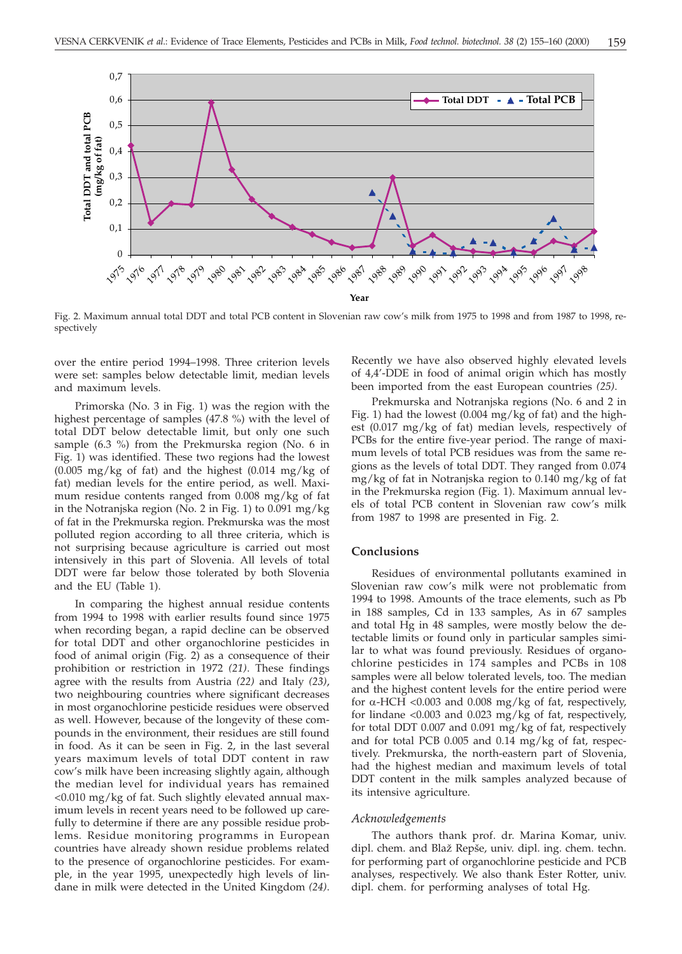

Fig. 2. Maximum annual total DDT and total PCB content in Slovenian raw cow's milk from 1975 to 1998 and from 1987 to 1998, respectively

over the entire period 1994–1998. Three criterion levels were set: samples below detectable limit, median levels and maximum levels.

Primorska (No. 3 in Fig. 1) was the region with the highest percentage of samples (47.8 %) with the level of total DDT below detectable limit, but only one such sample (6.3 %) from the Prekmurska region (No. 6 in Fig. 1) was identified. These two regions had the lowest  $(0.005 \text{ mg/kg of fat})$  and the highest  $(0.014 \text{ mg/kg of }$ fat) median levels for the entire period, as well. Maximum residue contents ranged from 0.008 mg/kg of fat in the Notranjska region (No. 2 in Fig. 1) to 0.091 mg/kg of fat in the Prekmurska region. Prekmurska was the most polluted region according to all three criteria, which is not surprising because agriculture is carried out most intensively in this part of Slovenia. All levels of total DDT were far below those tolerated by both Slovenia and the EU (Table 1).

In comparing the highest annual residue contents from 1994 to 1998 with earlier results found since 1975 when recording began, a rapid decline can be observed for total DDT and other organochlorine pesticides in food of animal origin (Fig. 2) as a consequence of their prohibition or restriction in 1972 *(21)*. These findings agree with the results from Austria *(22)* and Italy *(23)*, two neighbouring countries where significant decreases in most organochlorine pesticide residues were observed as well. However, because of the longevity of these compounds in the environment, their residues are still found in food. As it can be seen in Fig. 2, in the last several years maximum levels of total DDT content in raw cow's milk have been increasing slightly again, although the median level for individual years has remained <0.010 mg/kg of fat. Such slightly elevated annual maximum levels in recent years need to be followed up carefully to determine if there are any possible residue problems. Residue monitoring programms in European countries have already shown residue problems related to the presence of organochlorine pesticides. For example, in the year 1995, unexpectedly high levels of lindane in milk were detected in the United Kingdom *(24)*.

Recently we have also observed highly elevated levels of 4,4'-DDE in food of animal origin which has mostly been imported from the east European countries *(25)*.

Prekmurska and Notranjska regions (No. 6 and 2 in Fig. 1) had the lowest (0.004 mg/kg of fat) and the highest (0.017 mg/kg of fat) median levels, respectively of PCBs for the entire five-year period. The range of maximum levels of total PCB residues was from the same regions as the levels of total DDT. They ranged from 0.074 mg/kg of fat in Notranjska region to 0.140 mg/kg of fat in the Prekmurska region (Fig. 1). Maximum annual levels of total PCB content in Slovenian raw cow's milk from 1987 to 1998 are presented in Fig. 2.

#### **Conclusions**

Residues of environmental pollutants examined in Slovenian raw cow's milk were not problematic from 1994 to 1998. Amounts of the trace elements, such as Pb in 188 samples, Cd in 133 samples, As in 67 samples and total Hg in 48 samples, were mostly below the detectable limits or found only in particular samples similar to what was found previously. Residues of organochlorine pesticides in 174 samples and PCBs in 108 samples were all below tolerated levels, too. The median and the highest content levels for the entire period were for  $\alpha$ -HCH <0.003 and 0.008 mg/kg of fat, respectively, for lindane <0.003 and 0.023 mg/kg of fat, respectively, for total DDT 0.007 and 0.091 mg/kg of fat, respectively and for total PCB 0.005 and 0.14 mg/kg of fat, respectively. Prekmurska, the north-eastern part of Slovenia, had the highest median and maximum levels of total DDT content in the milk samples analyzed because of its intensive agriculture.

#### *Acknowledgements*

The authors thank prof. dr. Marina Komar, univ. dipl. chem. and Blaž Repše, univ. dipl. ing. chem. techn. for performing part of organochlorine pesticide and PCB analyses, respectively. We also thank Ester Rotter, univ. dipl. chem. for performing analyses of total Hg.